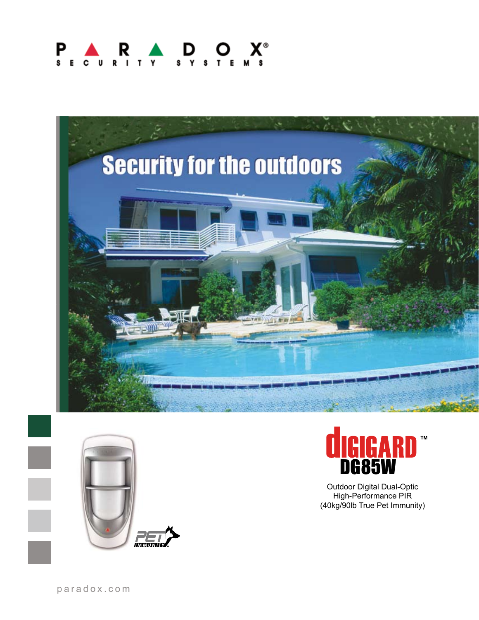# P.







Outdoor Digital Dual-Optic High-Performance PIR (40kg/90lb True Pet Immunity)